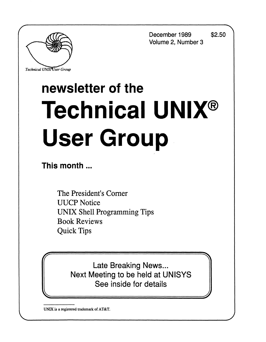**December 1989 \$2.50 Volume 2, Number 3** 



*Technical UNIXVser Group* 

# **newsletter of the Technical UNIX® User Group**

**This month...** 

The President's Corner UUCP Notice UNIX Shell Programming Tips Book Reviews Quick Tips

**fraction** Late Breaking News... Next Meeting to be held at UNISYS See inside for details

**UNIX is a registered trademark of AT&T.**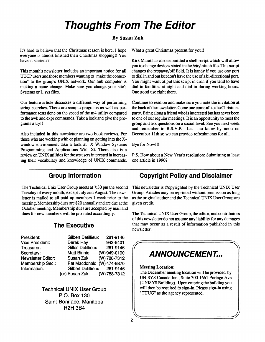# **Thoughts From The Editor**

#### **By Susan Zuk**

It's hard to believe that the Christmas season is here. I hope everyone is almost finished their Christmas shopping!! You haven't started??

This month's newsletter includes an important notice for all UUCP users and those members wanting to "make the connection" to the group's UNIX network. Our hub computer is making a name change. Make sure you change your site's Systems or L.sys files.

Our feature article discusses a different way of performing string searches. There are sample programs as well as performance tests done on the speed of the m4 utility compared to the awk and expr commands. Take a look and give the programs a try!!

Also included in this newsletter are two book reviews. For those who are working with or planning on getting into the Xwindow environment take a look at X Window Systems Programming and Applications With Xt. There also is a review on UNIX utilities for thoses users interested in increasing their vocabulary and knowledge of UNIX commands. What a great Christmas present for you!!

Kirk Marat has also submitted a shell script which will allow you to change devices stated in the /etc/inittab file. This script changes the respawn/off field. It is handy if you use one port to dial in and out but don't have the use of a bi-directional port. You might want ot put this script in cron if you tend to have dial-in facilities at night and dial-in during working hours. One good use right there.

Continue to read on and make sure you note the invitation at the back of the newsletter. Come one come all to the Christmas party. Bring along a friend who is interested but has never been to one of our regular meetings. It is an opportunity to meet the group and ask questions on a social level. See you next week and remember to R.S.V.P. Let me know by noon on December 11th so we can provide refreshments for all.

Bye for Now!!!

P.S. How about a New Year's resolution: Submitting at least one article in 1990?

#### **Group Information**

The Technical Unix User Group meets at 7:30 pm the second Tuesday of every month, except July and August. The newsletter is mailed to all paid up members 1 week prior to the meeting. Membership dues are \$20 annually and are due at the October meeting. Membership dues are accepted by mail and dues for new members will be pro-rated accordingly.

#### **The Executive**

**Saint-Boniface, Manitoba R2H 3B4** 

| President:                | <b>Gilbert Detillieux</b>   | 261-9146     |
|---------------------------|-----------------------------|--------------|
| <b>Vice President:</b>    | Derek Hay                   | 943-5401     |
| Treasurer:                | <b>Gilles Detillieux</b>    | 261-9146     |
| Secretary:                | <b>Matt Binnie</b>          | (W) 949-0190 |
| <b>Newsletter Editor:</b> | Susan Zuk                   | (W) 788-7312 |
| <b>Membership Sec.:</b>   | Pat Macdonald (W) 474-9870  |              |
| Information:              | Gilbert Detillieux 261-9146 |              |
|                           | (or) Susan Zuk (W) 788-7312 |              |

**PatMacdonald (W) 474-9870 Gilbert Detillieux 261-9146 (or) Susan Zuk (W) 788-7312 Technical UNIX User Group P.O. Box 130** 

**Copyright Policy and Disclaimer** 

This newsletter is ©opyrighted by the Technical UNIX User Group. Articles may be reprinted without permission as long as the original author and the Technical UNIX User Group are given credit

The Technical UNIX User Group, the editor, and contributors of this newsletter do not assume any liability for any damages that may occur as a result of information published in this newsletter.

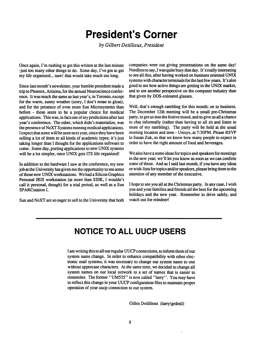# **President's Corner**

 $by$  Gilbert Detillieux, President

**Once again, I'm rushing to get this written at the last minute -just too many other things to do. Some day, I've got to get my life organized... naw! that would take much too long.** 

**Since last month's newsletter, your humble president made a trip to Phoenix, Arizona, for the annual Neuroscience conference. It was much the same as last year's, in Toronto, except for the warm, sunny weather (sorry, I don't mean to gloat), and for the presence of even more Sun Microsystems than before - these seem to be a popular choice for medical applications. This was, in fact one of my predictions after last year's conference. The other, which didn't materialize, was the presence of NeXT Systems running medical applications. I expect that some will be seen next year, since they have been selling a lot of them to all kinds of academic types; it's just taking longer than I thought for the applications software to come. Some day, porting applications to new UNIX systems will be a lot simpler, once UNIX gets ITS life organized!** 

**In addition to the hardware I saw at the conference, my new job at the University has given me the opportunity to see some of those new UNIX workstations. We had a Silicon Graphics Personal IRIS workstation (at more than \$20K, I wouldn't call it personal, though) for a trial period, as well as a Sun SPARCstation I.** 

**Sun and NeXT are so eager to sell to the University that both** 

**companies were out giving presentations on the same day! Needless to say, I was quite busy that day. It's really interesting to see all this, after having worked on business oriented UNIX systems with character terminals for thelastfew years. It's also good to see how active things are getting in the UNIX market, and to see another perspective on the computer industry than that given by DOS-coloured glasses.** 

**Well, that's enough rambling for this month; on to business. The December 12th meeting will be a small pre-Christmas party, to get us into the festive mood, and to give us all a chance to chat informally (rather than having to all sit and listen to more of my rambling). The party will be held at the usual meeting location and time - Unisys, at 7:30PM. Please RS VP to Susan Zuk, so that we know how many people to expect in order to have the right amount of food and beverages.** 

**We also have a some ideas for topics and speakers for meetings in the new year; we'll let you know as soon as we can confirm some of these. And as I said last month, if you have any ideas or wish-lists for topics and/or speakers, please bring them to the attention of any member of the executive.** 

**I hope to see you all at the Christmas party. In any case, I wish you and your families and friends all the best for the upcoming holidays and the new year. Remember to drive safely, and watch out for reindeer!** 

# **NOTICE TO ALL UUCP USERS**

**I am writing this to all our regular UUCP connections, to inform them of our system name change. In order to enhance compatibility with other electronic mail systems, it was necessary to change our system name to one without uppercase characters. At the same time, we decided to change all system names on our local network to a set of names that is easier to remember. The former' 'UM535" is now called "larry". You may have to reflect this change in your UUCP configuration files to maintain proper operation of your uucp connection to our system.** 

**Gilles Detillieux (larryjgrdetil)**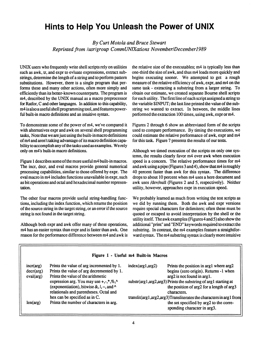## **Hints to Help You Unleash the Power of UNIX**

*By Curt Motola and Bruce Stewart Reprinted from /usr/group CommUNIXations November/Decemberl989* 

UNIX users who frequently write shell scripts rely on utilities such as awk, tr, and expr to evluate expressions, extract substrings, determine the length of a string and to perform pattern substitutions. However, there is a single program that performs these and many other actions, often more simply and efficiently than its better-known counterparts. The program is m4, described by the UNIX manual as a macro preprocessor for Ratfor, C and other languages. In addition to this capability, m4 is also a useful shell programming tool, and features powerful built-in macro definitions and an intuitive syntax.

To demonstrate some of the power of m4, we've compared it with alternatives expr and awk on several shell programming tasks, Note that we are just using the built-in macro definitions of m4 and aren't taking advantage of its macro definition capability to accomplish any of the tasks used as examples. We rely only on m4's built-in macro definitions.

Figure 1 describes some of the more useful m4 built-in macros. The incr, deer, and eval macros provide general numerical processing capabilities, similar to those offered by expr. The eval macro in m4 includes functions unavailable in expr, such as bit operations and octal and hexadecimal number representation.

The other four macros provide useful string-handling functions, including the index function, which returns the position of the source string in the target string, or an error if the source string is not found in the target string.

Although both expr and awk offer many of these operations, m4 has an easier syntax than expr and is faster than awk. One reason for the performance difference between m4 and awk is the relative size of the executables; m4 is typically less than one-third the size of awk, and thus m4 loads more quickly and begins executing sooner. We attempted to get a rough measure of the relative efficiency of awk, expr, and m4 on the same task - extracting a substring from a larger string. To obtain our estimate, we created separate Bourne shell scripts for each utility. The first line of each script assigned a string to the variable \$INPUT; the last line printed the value of the substring we wanted to extract. In between, the middle lines performed the extraction 100 times, using awk, expr or m4.

Figures 2 through 6 show an abbreviated form of the scripts used to compare performance. By timing the executions, we could estimate the relative performance of awk, expr and m4 for this task. Figure 7 presents the results of our tests.

Although we timed execution of the scripts on only one systemn, the results clearly favor m4 over awk when execution speed is a concern. The relative performance times for m4 and awk using a pipe (Figures 3 and 4), show that m4 is roughly 40 percent faster than awk for this syntax. The difference drops to about 10 percent when m4 uses a here document and awk uses /dev/null (Figures 2 and 5, respectively). Neither utility, however, approaches expr in execution speed.

We probably learned as much from writing the test scripts as we did by running them. Both the awk and expr versions require special characters for delimiters; often these must be quoted or escaped to avoid interpretation by the shell or the utility itself. The awk examples (Figures 4 and 5) also show the additional "print" and "END" keywords required to extract the substring. In contrast, the m4 examples feature a straightforward syntax. The m4 substring syntax is clearly more intuitive

| Figure 1 - Useful m4 Built-in Macros  |                                                                                                                                                                                                                                                                                                                                |                                                                                                                                                                                                                                                                                                                                         |  |
|---------------------------------------|--------------------------------------------------------------------------------------------------------------------------------------------------------------------------------------------------------------------------------------------------------------------------------------------------------------------------------|-----------------------------------------------------------------------------------------------------------------------------------------------------------------------------------------------------------------------------------------------------------------------------------------------------------------------------------------|--|
| $incr(\arg)$<br>dec(arg)<br>eval(arg) | Prints the value of arg incremented by 1.<br>Prints the value of arg decremented by 1.<br>Prints the value of the arithmetic<br>expression arg. You may use $+, \cdot, *, \%$ .<br>(exponentiation), bitwise $\&$ , $\vert$ , $\sim$ , and $\wedge$<br>relationals and parentheses. Octal and<br>hex can be specified as in C. | Prints the position in arg1 where arg2<br>index(arg1, arg2)<br>begins (zero origin). Returns -1 when<br>arg2 is not found in arg1.<br>substr(arg1,arg2,arg3) Prints the substring of arg1 starting at<br>the position of arg2 for a length of arg3<br>characters.<br>translit(arg1,arg2,arg3)Transliterates the characters in arg1 from |  |
| len(arg)                              | Prints the number of characters in arg.                                                                                                                                                                                                                                                                                        | the set specified by arg2 to the corre-<br>sponding character in arg3.                                                                                                                                                                                                                                                                  |  |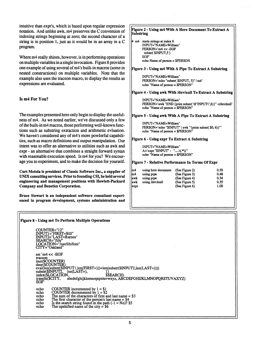intuitive than expr's, which is based upon regular expression notation. And unlike awk, m4 preserves the C convention of indexing strings beginning at zero; the second character of a string is in position 1, just as it would be in an array in a C program.

Where m4 really shines, however, is in performing operations on multiple variables in a single invocation. Figure 8 provides one example of using several of m4's built-in macros (some in nested constructions) on multiple variables. Note that the example also uses the traceon macro, to display the results as expressions are evaluated.

#### Is m4 **For** You?

The examples presented here only begin to display the usefulness of m4. As we noted earlier, we've discussed only a few of the built-in m4 macros, those performing well-known functions such as substring extraction and arithmetic evluation. We haven't considered any of m4's more powlerful capabilities, such as macro definitions and output manipulation. Our intent was to offer an alternative to utilities such as awk and expr - an alternative that combines a straight forward syntax with reasonable execution speed. Is m4 for you? We encourage you to experiment, and to make the decision for yourself.

**Curt Motola is president of Classic Software Inc., a supplier of UNIX consulting services. Prior to founding CSI, he held several engineering and management positions with Hewlett-Packard Company and Benetics Corporation.** 

**Bruce Stewart is an independent software consultant experienced in program development, systems administration and** 

echo The University of the University of the University of the University of the University of the University<br>And the upshifted name of the University of the University of the University of the University of the Universi

#### **Figure 2 - Using m4 With A Here Document To Extract A [Substring**  m4 starts strings at index 0 INPUT="NAME=William" PERSON=`m4 <<-EOF substr(\$INPUT,5) EOF echo Name of person = \$PERSON **[Figure 3** - **Using m4 With A Pipe To Extract A Substring**  INPUT="NAME=William" PERSON=`echo "substr( \$INPUT, 5)" | m4` echo "Name of person = \$PERSON" **[Figure 4** - **Using awk With /dev/null To Extract A Substring**  INPUT="NAME=William" PERSON=`awk "END {print substr(\\$"INPUT\",6)}" </dev/null` echo "Name of person = \$PERSON" **figure 5 - Using awk With A Pipe To Extract A Substring**  INPUT="NAME=William" PERSON=`echo "\$INPUT" | awk "{print substr(\$0,6)}"` echo "Name of person = SPERSON" **[Figure** *6* - **Using expr To Extract A Substring**  INPUT="NAME=William" A=`expr "\$INPUT" : ".....\(.\*\)"` echo "Name of person = \$PERSON" **[Figure** 7 - **Relative Performance In Terms Of Expr**  Im4 using here document (See Figure 2) m4 using pipe (See Figure 3)<br>awk using pipe (See Figure 4) (See Figure 4) awk using /dev/null (See Figure 5) expr (See Figure 6) 0.39 **0.48**  0.34 0.35 1.00

**Figure 8 - Using m4 To Perform Multiple Operations**  COUNTER="12" INPUT1="FIRST=Bill"<br>Published "LAST D INPUT2="LAST=Barnes"<br>SEARCH-"/lib/"  $LOCATION="/us$ CITY="Oakland" set `m4 << -EOF set `m4 << -EOF<br>traceon  $\arccos 2$ decr(\$COUNTER) decr(\$COUNTER)  $\frac{1}{2}$ <br>index(\$I OC ATION) + control (\$INPCH) substr(\$INPUT2, len(LAST=), 1)<br>index(\$LOCATION, \$SEARCH)<br>translit(\$CITY, abcdefghijklomnopqrstuvwxyz,ABCDEFGHIJKLMNOPQRSTUVAXYZ)<br>EOF  $EOF$  in the state  $\mathcal{L}$  is the state  $\mathcal{L}$ echo COUNTER incremented by  $1 = $1$ <br>echo COUNTER decremented by  $1 = $2$ echo echo The sum of the characters of first and last name  $= $3$ echo The first character of the person's last name =  $$4$  echo Is the search string found in the path  $(-1 = No)$ ? echo Is the search string found in the path  $(-1 = No)^7$  \$5<br>echo The upshifted name of the city = \$6 The upshifted name of the city  $= $6$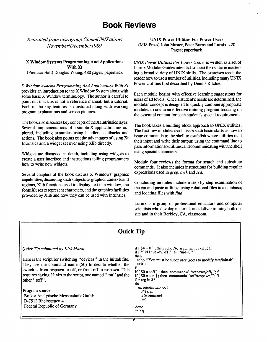## **Book Reviews**

*Reprinted from lusrl group CommUNIXations NovemberlDecemberl 989* 

#### X **Window** Systems **Programming And Applications With Xt**

(Prentice-Hall) Douglas Young, 480 pages; paperback

*X Window Systems Programming And Applications With Xt*  provides an introduction to the X Window System along with some basic X Window terminology. The author is careful to point out that this is not a reference manual, but a tutorial. Each of the key features is illustrated along with working program explanations and screen pictures.

The book also discusses key concepts of the Xt Intrinsics layer. Several implementations of a simple X application are explored, including examples using handlers, callbacks and actions. The book also points out the advantages of using Xt Intrinsics and a widget set over using Xlib directly.

Widgets are discussed in depth, including using widgets to create a user interface and instructions telling programmers how to write new widgets.

Several chapters of the book discuss X Windows' graphics capabilities, discussing such subjects as graphics contexts and regions, Xlib functions used to display text in a window, the fonts X uses to represent characters, and the graphics facilities provided by Xlib and how they can be used with Intrinsics.

#### **UNIX Power Utilities For Power Users**  (MIS Press) John Muster, Peter Burns and Lurnix, 420 Pages; paperback

*UNIX Power Utilities For Power Users* is written as a set of Lurnix Modular Guides intended to assist the reader in mastering a broad variety of UNIX skills. The exercises teach the reader how to use a number of utilities, including many UNIX Power Utilities first described by Dennis Ritchie.

Each module begins with effective learning suggestions for users of all levels. Once a student's needs are determined, the modular concept is designed to quickly combine appropriate modules to create an effective training program focusing on the essential content for each student's special requirements.

The book takes a building block approach to UNIX utilities. The first few modules teach users such basic skills as how to issue commands to the shell to establish where utilities read their input and write their output; using the command line to pass information to utilities; and communicating with the shell using special characters.

Module four reviews the format for search and substitute commands. It also includes instructions for building regular expressions used in *grep, awk* and *sed.* 

Concluding modules include a step-by-step examination of the cut and paste utilities; using relational files in a database; and locating files with *find*.

Lurnix is a group of professional educators and computer scientists who develop materials and deliver training both onsite and in their Berkley, CA, classroom.

### **Quick Tip**

#### *Quick Tip submitted by Kirk Marat*

Here is the script for switching "devices" in the inittab file. They use the command name (\$0) to decide whether the switch is from respawn to off, or from off to respawn. This requires having 2 links to the script, one named "ton" and the other "toff".

Program source: Bruker Analytische Messtechnik GmbH D-7512 Rheinstetten 4 Federal Republic of Germany

```
if [ $# = 0 ] ; then echo No argument; exit 1; fi 
if [ "id | cut -d\ -f1`" != "uid=0" ]
then 
 echo * 'You must be super user (root) to modify /etc/inittab'' 
 exit 1 
fi 
if [ $0 = toff ] ; then command='7respawn/off/"; fi 
if [ $0 = ton ] ; then command^'/off/respawn/"; fi 
for arg in $* 
do 
 ex /etc/inittab <<!
    /A$arg: 
    s Scommand 
    wq 
f 
done 
initq
```